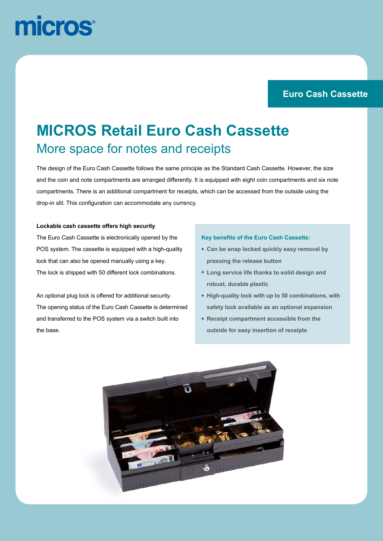# micros

#### **Teaser Euro Cash Cassette**

## **MICROS Retail Euro Cash Cassette** More space for notes and receipts

The design of the Euro Cash Cassette follows the same principle as the Standard Cash Cassette. However, the size compartments. There is an additional compartment for receipts, which can be accessed from the outside using the drop-in slit. This configuration can accommodate any currency. and the coin and note compartments are arranged differently. It is equipped with eight coin compartments and six note

#### **Lockable cash cassette offers high security**

The Euro Cash Cassette is electronically opened by the POS system. The cassette is equipped with a high-quality lock that can also be opened manually using a key. The lock is shipped with 50 different lock combinations.

An optional plug lock is offered for additional security. The opening status of the Euro Cash Cassette is determined and transferred to the POS system via a switch built into the base.

#### **Key benefits of the Euro Cash Cassette:**

- **• Can be snap locked quickly easy removal by pressing the release button**
- **• Long service life thanks to solid design and robust, durable plastic**
- **• High-quality lock with up to 50 combinations, with safety lock available as an optional expansion**
- **• Receipt compartment accessible from the outside for easy insertion of receipts**

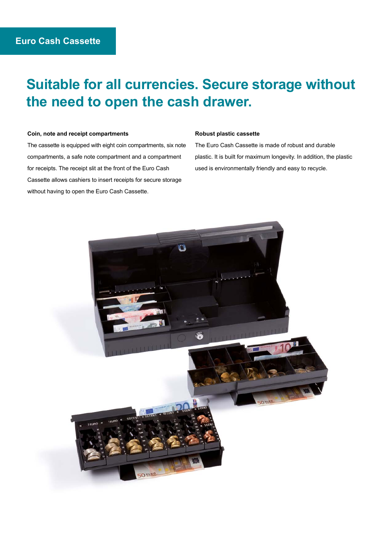### **Suitable for all currencies. Secure storage without the need to open the cash drawer.**

#### **Coin, note and receipt compartments**

The cassette is equipped with eight coin compartments, six note compartments, a safe note compartment and a compartment for receipts. The receipt slit at the front of the Euro Cash Cassette allows cashiers to insert receipts for secure storage without having to open the Euro Cash Cassette.

#### **Robust plastic cassette**

The Euro Cash Cassette is made of robust and durable plastic. It is built for maximum longevity. In addition, the plastic used is environmentally friendly and easy to recycle.

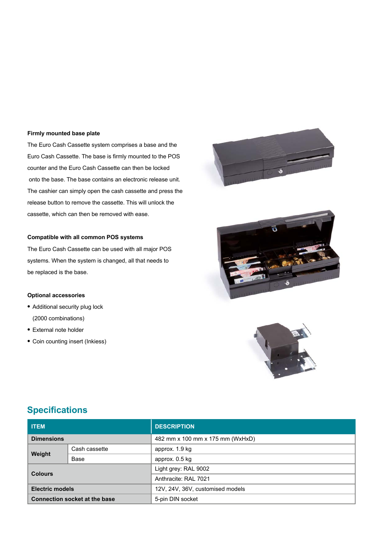#### **Firmly mounted base plate**

The Euro Cash Cassette system comprises a base and the Euro Cash Cassette. The base is firmly mounted to the POS counter and the Euro Cash Cassette can then be locked onto the base. The base contains an electronic release unit. The cashier can simply open the cash cassette and press the release button to remove the cassette. This will unlock the cassette, which can then be removed with ease.

#### **Compatible with all common POS systems**

The Euro Cash Cassette can be used with all major POS systems. When the system is changed, all that needs to be replaced is the base.

#### **Optional accessories**

- **•** Additional security plug lock (2000 combinations)
- **•** External note holder
- **•** Coin counting insert (Inkiess)







### **Specifications**

| <b>ITEM</b>                          |               | <b>DESCRIPTION</b>               |
|--------------------------------------|---------------|----------------------------------|
| <b>Dimensions</b>                    |               | 482 mm x 100 mm x 175 mm (WxHxD) |
| Weight                               | Cash cassette | approx. 1.9 kg                   |
|                                      | Base          | approx. 0.5 kg                   |
| <b>Colours</b>                       |               | Light grey: RAL 9002             |
|                                      |               | Anthracite: RAL 7021             |
| <b>Electric models</b>               |               | 12V, 24V, 36V, customised models |
| <b>Connection socket at the base</b> |               | 5-pin DIN socket                 |